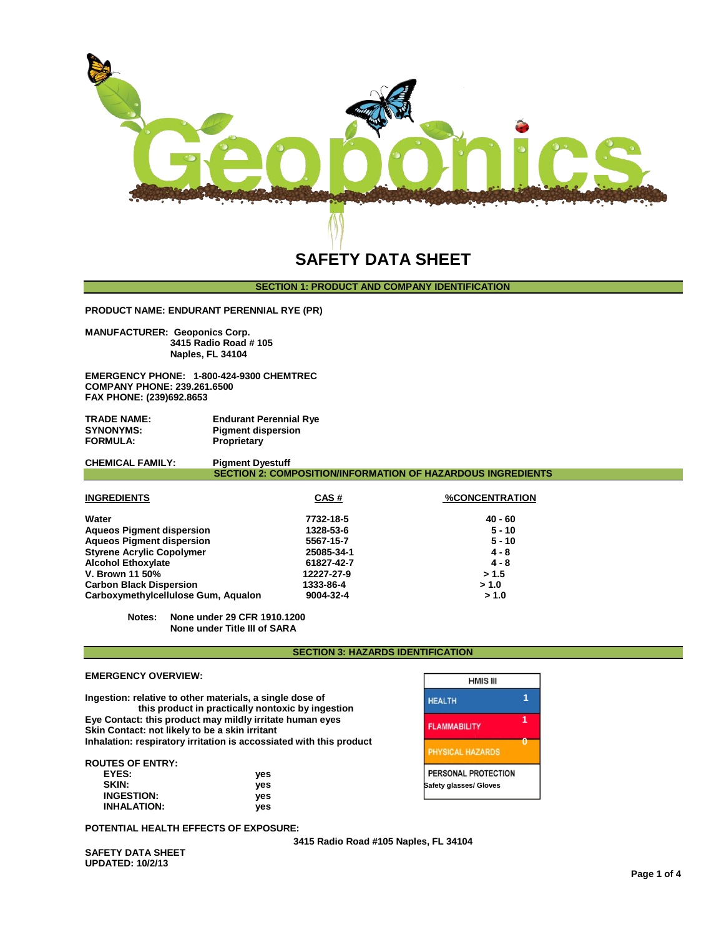

# **SAFETY DATA SHEET**

# **SECTION 1: PRODUCT AND COMPANY IDENTIFICATION**

**PRODUCT NAME: ENDURANT PERENNIAL RYE (PR)**

**MANUFACTURER: Geoponics Corp. 3415 Radio Road # 105 Naples, FL 34104** 

**EMERGENCY PHONE: 1-800-424-9300 CHEMTREC COMPANY PHONE: 239.261.6500 FAX PHONE: (239)692.8653**

**TRADE NAME:** Endurant Perennial Rye **SYNONYMS:** Pigment dispersion SYNONYMS: Pigment dispersion<br>
FORMULA: Proprietary **Proprietary** 

**CHEMICAL FAMILY: SECTION 2: COMPOSITION/INFORMATION OF HAZARDOUS INGREDIENTS**

| <b>INGREDIENTS</b>                  | CAS#       | <b>%CONCENTRATION</b> |
|-------------------------------------|------------|-----------------------|
| Water                               | 7732-18-5  | $40 - 60$             |
| <b>Aqueos Pigment dispersion</b>    | 1328-53-6  | $5 - 10$              |
| <b>Aqueos Pigment dispersion</b>    | 5567-15-7  | $5 - 10$              |
| <b>Styrene Acrylic Copolymer</b>    | 25085-34-1 | $4 - 8$               |
| <b>Alcohol Ethoxylate</b>           | 61827-42-7 | $4 - 8$               |
| V. Brown 11 50%                     | 12227-27-9 | > 1.5                 |
| <b>Carbon Black Dispersion</b>      | 1333-86-4  | > 1.0                 |
| Carboxymethylcellulose Gum, Aqualon | 9004-32-4  | > 1.0                 |

**Notes: None under 29 CFR 1910.1200 None under Title III of SARA**

#### **SECTION 3: HAZARDS IDENTIFICATION**

Г

٦

| <b>EMERGENCY OVERVIEW:</b>                                                                                 |                                                                     | <b>HMIS III</b>         |  |
|------------------------------------------------------------------------------------------------------------|---------------------------------------------------------------------|-------------------------|--|
| Ingestion: relative to other materials, a single dose of                                                   | this product in practically nontoxic by ingestion                   | <b>HEALTH</b>           |  |
| Eye Contact: this product may mildly irritate human eyes<br>Skin Contact: not likely to be a skin irritant | <b>FLAMMABILITY</b>                                                 |                         |  |
|                                                                                                            | Inhalation: respiratory irritation is accossiated with this product | <b>PHYSICAL HAZARDS</b> |  |
| <b>ROUTES OF ENTRY:</b>                                                                                    |                                                                     |                         |  |
| EYES:                                                                                                      | yes                                                                 | PERSONAL PROTECTION     |  |
| SKIN:                                                                                                      | yes                                                                 | Safety glasses/ Gloves  |  |
| <b>INGESTION:</b>                                                                                          | yes                                                                 |                         |  |
| <b>INHALATION:</b>                                                                                         | ves                                                                 |                         |  |

**POTENTIAL HEALTH EFFECTS OF EXPOSURE:**

**3415 Radio Road #105 Naples, FL 34104** 

**SAFETY DATA SHEET UPDATED: 10/2/13**

**EMERGENCY OVERVIEW:**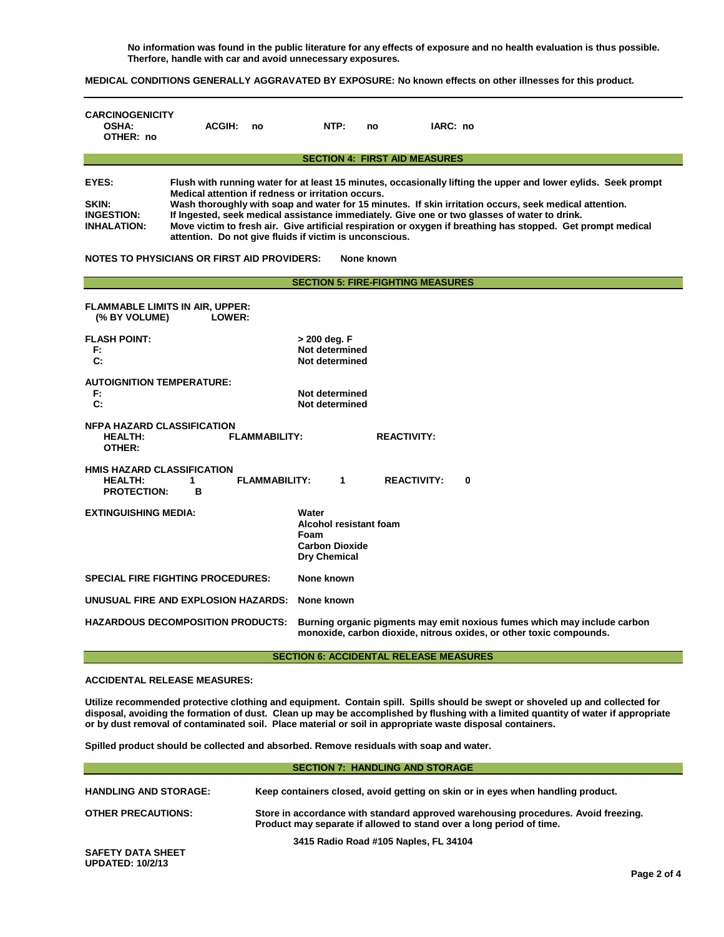**No information was found in the public literature for any effects of exposure and no health evaluation is thus possible. Therfore, handle with car and avoid unnecessary exposures.**

**MEDICAL CONDITIONS GENERALLY AGGRAVATED BY EXPOSURE: No known effects on other illnesses for this product.**

| <b>CARCINOGENICITY</b><br><b>OSHA:</b><br>OTHER: no                                                                                                                                                                                                                                                                                                                                                                                                                                                                                                                                                                                                                                        | <b>ACGIH:</b>                                                                                                                                                                               | no                   | NTP:                                                                             | no                 | IARC: no |          |
|--------------------------------------------------------------------------------------------------------------------------------------------------------------------------------------------------------------------------------------------------------------------------------------------------------------------------------------------------------------------------------------------------------------------------------------------------------------------------------------------------------------------------------------------------------------------------------------------------------------------------------------------------------------------------------------------|---------------------------------------------------------------------------------------------------------------------------------------------------------------------------------------------|----------------------|----------------------------------------------------------------------------------|--------------------|----------|----------|
|                                                                                                                                                                                                                                                                                                                                                                                                                                                                                                                                                                                                                                                                                            |                                                                                                                                                                                             |                      | <b>SECTION 4: FIRST AID MEASURES</b>                                             |                    |          |          |
| EYES:<br>Flush with running water for at least 15 minutes, occasionally lifting the upper and lower eylids. Seek prompt<br>Medical attention if redness or irritation occurs.<br>Wash thoroughly with soap and water for 15 minutes. If skin irritation occurs, seek medical attention.<br>SKIN:<br>If Ingested, seek medical assistance immediately. Give one or two glasses of water to drink.<br><b>INGESTION:</b><br>Move victim to fresh air. Give artificial respiration or oxygen if breathing has stopped. Get prompt medical<br><b>INHALATION:</b><br>attention. Do not give fluids if victim is unconscious.<br><b>NOTES TO PHYSICIANS OR FIRST AID PROVIDERS:</b><br>None known |                                                                                                                                                                                             |                      |                                                                                  |                    |          |          |
|                                                                                                                                                                                                                                                                                                                                                                                                                                                                                                                                                                                                                                                                                            |                                                                                                                                                                                             |                      | <b>SECTION 5: FIRE-FIGHTING MEASURES</b>                                         |                    |          |          |
| <b>FLAMMABLE LIMITS IN AIR, UPPER:</b><br>(% BY VOLUME)                                                                                                                                                                                                                                                                                                                                                                                                                                                                                                                                                                                                                                    | LOWER:                                                                                                                                                                                      |                      |                                                                                  |                    |          |          |
| <b>FLASH POINT:</b><br>F:<br>C:                                                                                                                                                                                                                                                                                                                                                                                                                                                                                                                                                                                                                                                            | > 200 deg. F<br>Not determined<br>Not determined                                                                                                                                            |                      |                                                                                  |                    |          |          |
| <b>AUTOIGNITION TEMPERATURE:</b><br>F.<br>$\mathbf{C}$ :                                                                                                                                                                                                                                                                                                                                                                                                                                                                                                                                                                                                                                   |                                                                                                                                                                                             |                      | Not determined<br>Not determined                                                 |                    |          |          |
| <b>NFPA HAZARD CLASSIFICATION</b><br><b>HEALTH:</b><br>OTHER:                                                                                                                                                                                                                                                                                                                                                                                                                                                                                                                                                                                                                              |                                                                                                                                                                                             | <b>FLAMMABILITY:</b> |                                                                                  | <b>REACTIVITY:</b> |          |          |
| <b>HMIS HAZARD CLASSIFICATION</b><br><b>HEALTH:</b><br><b>PROTECTION:</b>                                                                                                                                                                                                                                                                                                                                                                                                                                                                                                                                                                                                                  | 1<br>в                                                                                                                                                                                      | <b>FLAMMABILITY:</b> | 1                                                                                | <b>REACTIVITY:</b> |          | $\bf{0}$ |
| <b>EXTINGUISHING MEDIA:</b>                                                                                                                                                                                                                                                                                                                                                                                                                                                                                                                                                                                                                                                                |                                                                                                                                                                                             |                      | Water<br>Alcohol resistant foam<br>Foam<br><b>Carbon Dioxide</b><br>Dry Chemical |                    |          |          |
|                                                                                                                                                                                                                                                                                                                                                                                                                                                                                                                                                                                                                                                                                            | <b>SPECIAL FIRE FIGHTING PROCEDURES:</b><br>None known                                                                                                                                      |                      |                                                                                  |                    |          |          |
| UNUSUAL FIRE AND EXPLOSION HAZARDS:                                                                                                                                                                                                                                                                                                                                                                                                                                                                                                                                                                                                                                                        |                                                                                                                                                                                             |                      | None known                                                                       |                    |          |          |
|                                                                                                                                                                                                                                                                                                                                                                                                                                                                                                                                                                                                                                                                                            | <b>HAZARDOUS DECOMPOSITION PRODUCTS:</b><br>Burning organic pigments may emit noxious fumes which may include carbon<br>monoxide, carbon dioxide, nitrous oxides, or other toxic compounds. |                      |                                                                                  |                    |          |          |

**SECTION 6: ACCIDENTAL RELEASE MEASURES**

**ACCIDENTAL RELEASE MEASURES:**

**Utilize recommended protective clothing and equipment. Contain spill. Spills should be swept or shoveled up and collected for disposal, avoiding the formation of dust. Clean up may be accomplished by flushing with a limited quantity of water if appropriate or by dust removal of contaminated soil. Place material or soil in appropriate waste disposal containers.**

**Spilled product should be collected and absorbed. Remove residuals with soap and water.** 

| <b>SECTION 7: HANDLING AND STORAGE</b>              |                                                                                                                                                            |  |  |
|-----------------------------------------------------|------------------------------------------------------------------------------------------------------------------------------------------------------------|--|--|
| <b>HANDLING AND STORAGE:</b>                        | Keep containers closed, avoid getting on skin or in eyes when handling product.                                                                            |  |  |
| <b>OTHER PRECAUTIONS:</b>                           | Store in accordance with standard approved warehousing procedures. Avoid freezing.<br>Product may separate if allowed to stand over a long period of time. |  |  |
| <b>SAFETY DATA SHEET</b><br><b>UPDATED: 10/2/13</b> | 3415 Radio Road #105 Naples, FL 34104                                                                                                                      |  |  |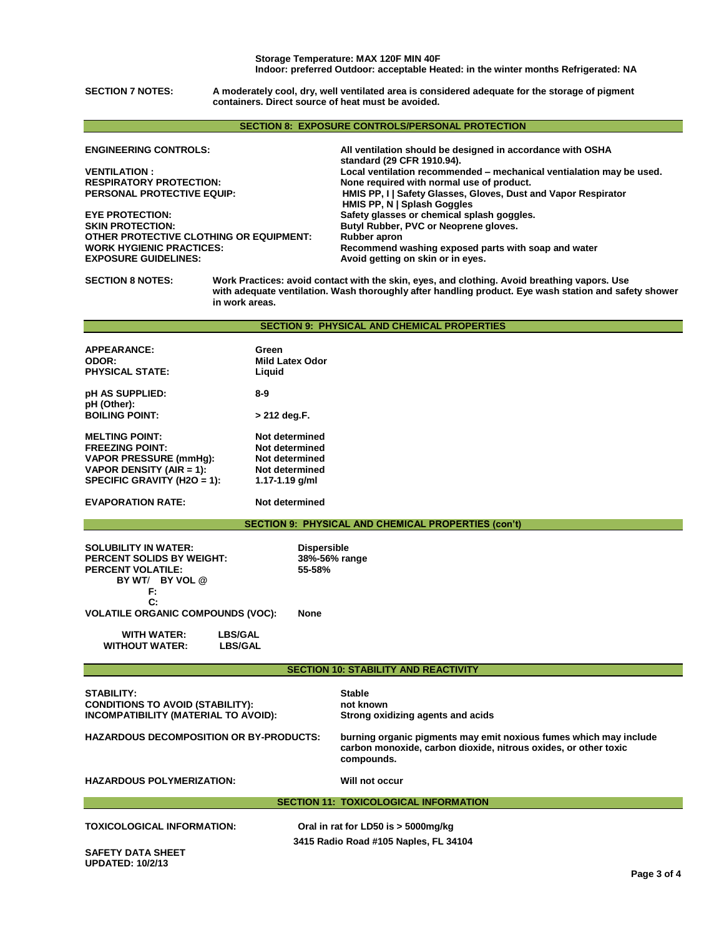**SECTION 7 NOTES: A moderately cool, dry, well ventilated area is considered adequate for the storage of pigment containers. Direct source of heat must be avoided.**

## **SECTION 8: EXPOSURE CONTROLS/PERSONAL PROTECTION**

**ENGINEERING CONTROLS: All ventilation should be designed in accordance with OSHA** 

**EYE PROTECTION: Safety glasses or chemical splash goggles. OTHER PROTECTIVE CLOTHING OR EQUIPMENT: Rubber apron WORK HYGIENIC PRACTICES: Recommend washing exposed parts with soap and water** 

**standard (29 CFR 1910.94). VENTILATION : Local ventilation recommended – mechanical ventialation may be used. RESPIRATORY PROTECTION: None required with normal use of product. HMIS PP, I | Safety Glasses, Gloves, Dust and Vapor Respirator HMIS PP, N | Splash Goggles** Butyl Rubber, PVC or Neoprene gloves. Avoid getting on skin or in eyes.

**SECTION 8 NOTES: Work Practices: avoid contact with the skin, eyes, and clothing. Avoid breathing vapors. Use with adequate ventilation. Wash thoroughly after handling product. Eye wash station and safety shower in work areas.** 

|  |  | <b>SECTION 9: PHYSICAL AND CHEMICAL PROPERTIES</b> |  |
|--|--|----------------------------------------------------|--|
|--|--|----------------------------------------------------|--|

| Green<br><b>Mild Latex Odor</b><br>Liguid |
|-------------------------------------------|
| 8-9                                       |
| > 212 deg.F.                              |
| Not determined                            |
| Not determined                            |
| Not determined                            |
| Not determined                            |
| 1.17-1.19 $q/ml$                          |
| Not determined                            |
|                                           |

**SECTION 9: PHYSICAL AND CHEMICAL PROPERTIES (con't)**

| <b>SOLUBILITY IN WATER:</b><br><b>PERCENT SOLIDS BY WEIGHT:</b><br><b>PERCENT VOLATILE:</b><br>BY WT/ BY VOL @ | <b>Dispersible</b><br>38%-56% range<br>55-58% |  |
|----------------------------------------------------------------------------------------------------------------|-----------------------------------------------|--|
| F:<br>$\mathbf{C}$<br><b>VOLATILE ORGANIC COMPOUNDS (VOC):</b>                                                 | <b>None</b>                                   |  |
| WITH WATFR·<br>I RS/GAI                                                                                        |                                               |  |

 **WITHOUT WATER: LBS/GAL**

**SECTION 10: STABILITY AND REACTIVITY**

**STABILITY: Stable CONDITIONS TO AVOID (STABILITY): not known INCOMPATIBILITY (MATERIAL TO AVOID):** 

**HAZARDOUS DECOMPOSITION OR BY-PRODUCTS: burning organic pigments may emit noxious fumes which may include carbon monoxide, carbon dioxide, nitrous oxides, or other toxic compounds.**

**HAZARDOUS POLYMERIZATION: Will not occur**

## **SECTION 11: TOXICOLOGICAL INFORMATION**

**3415 Radio Road #105 Naples, FL 34104 TOXICOLOGICAL INFORMATION: Oral in rat for LD50 is > 5000mg/kg**

**SAFETY DATA SHEET UPDATED: 10/2/13**